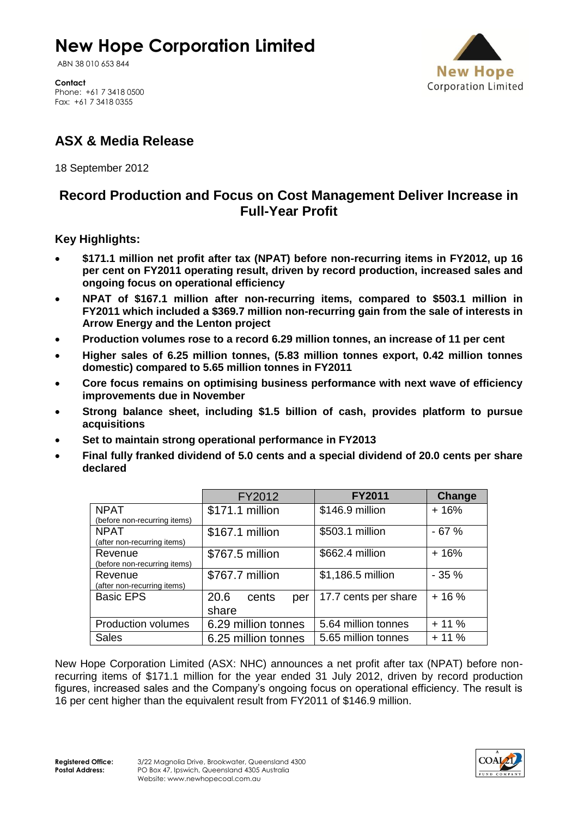# **New Hope Corporation Limited**

ABN 38 010 653 844



**Contact** Phone: +61 7 3418 0500 Fax: +61 7 3418 0355

## **ASX & Media Release**

18 September 2012

### **Record Production and Focus on Cost Management Deliver Increase in Full-Year Profit**

### **Key Highlights:**

- **\$171.1 million net profit after tax (NPAT) before non-recurring items in FY2012, up 16 per cent on FY2011 operating result, driven by record production, increased sales and ongoing focus on operational efficiency**
- **NPAT of \$167.1 million after non-recurring items, compared to \$503.1 million in FY2011 which included a \$369.7 million non-recurring gain from the sale of interests in Arrow Energy and the Lenton project**
- **Production volumes rose to a record 6.29 million tonnes, an increase of 11 per cent**
- **Higher sales of 6.25 million tonnes, (5.83 million tonnes export, 0.42 million tonnes domestic) compared to 5.65 million tonnes in FY2011**
- **Core focus remains on optimising business performance with next wave of efficiency improvements due in November**
- **Strong balance sheet, including \$1.5 billion of cash, provides platform to pursue acquisitions**
- **Set to maintain strong operational performance in FY2013**
- **Final fully franked dividend of 5.0 cents and a special dividend of 20.0 cents per share declared**

|                              | FY2012               | <b>FY2011</b>        | Change |
|------------------------------|----------------------|----------------------|--------|
| <b>NPAT</b>                  | \$171.1 million      | \$146.9 million      | $+16%$ |
| (before non-recurring items) |                      |                      |        |
| <b>NPAT</b>                  | \$167.1 million      | \$503.1 million      | $-67%$ |
| (after non-recurring items)  |                      |                      |        |
| Revenue                      | \$767.5 million      | \$662.4 million      | $+16%$ |
| (before non-recurring items) |                      |                      |        |
| Revenue                      | \$767.7 million      | \$1,186.5 million    | $-35%$ |
| (after non-recurring items)  |                      |                      |        |
| <b>Basic EPS</b>             | 20.6<br>cents<br>per | 17.7 cents per share | $+16%$ |
|                              | share                |                      |        |
| <b>Production volumes</b>    | 6.29 million tonnes  | 5.64 million tonnes  | $+11%$ |
| <b>Sales</b>                 | 6.25 million tonnes  | 5.65 million tonnes  | $+11%$ |

New Hope Corporation Limited (ASX: NHC) announces a net profit after tax (NPAT) before nonrecurring items of \$171.1 million for the year ended 31 July 2012, driven by record production figures, increased sales and the Company's ongoing focus on operational efficiency. The result is 16 per cent higher than the equivalent result from FY2011 of \$146.9 million.

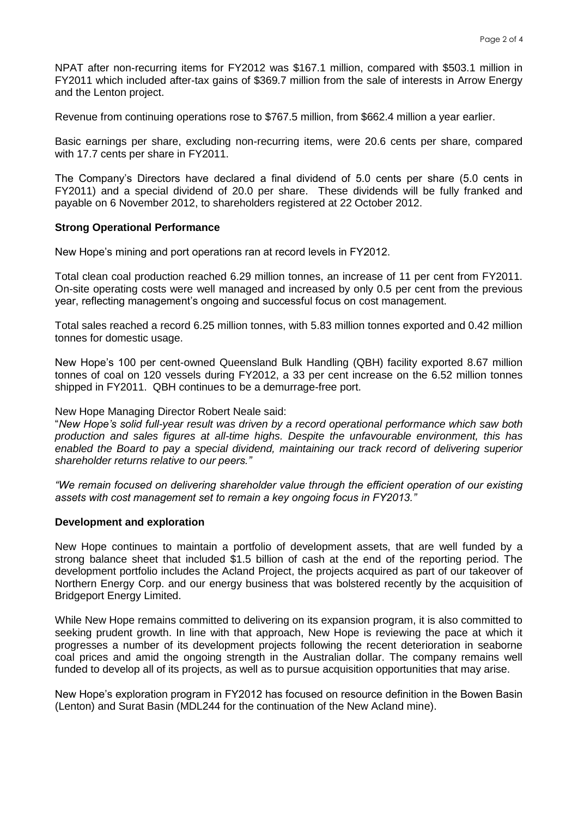NPAT after non-recurring items for FY2012 was \$167.1 million, compared with \$503.1 million in FY2011 which included after-tax gains of \$369.7 million from the sale of interests in Arrow Energy and the Lenton project.

Revenue from continuing operations rose to \$767.5 million, from \$662.4 million a year earlier.

Basic earnings per share, excluding non-recurring items, were 20.6 cents per share, compared with 17.7 cents per share in FY2011.

The Company's Directors have declared a final dividend of 5.0 cents per share (5.0 cents in FY2011) and a special dividend of 20.0 per share. These dividends will be fully franked and payable on 6 November 2012, to shareholders registered at 22 October 2012.

#### **Strong Operational Performance**

New Hope's mining and port operations ran at record levels in FY2012.

Total clean coal production reached 6.29 million tonnes, an increase of 11 per cent from FY2011. On-site operating costs were well managed and increased by only 0.5 per cent from the previous year, reflecting management's ongoing and successful focus on cost management.

Total sales reached a record 6.25 million tonnes, with 5.83 million tonnes exported and 0.42 million tonnes for domestic usage.

New Hope's 100 per cent-owned Queensland Bulk Handling (QBH) facility exported 8.67 million tonnes of coal on 120 vessels during FY2012, a 33 per cent increase on the 6.52 million tonnes shipped in FY2011. QBH continues to be a demurrage-free port.

#### New Hope Managing Director Robert Neale said:

"*New Hope's solid full-year result was driven by a record operational performance which saw both production and sales figures at all-time highs. Despite the unfavourable environment, this has enabled the Board to pay a special dividend, maintaining our track record of delivering superior shareholder returns relative to our peers."*

*"We remain focused on delivering shareholder value through the efficient operation of our existing assets with cost management set to remain a key ongoing focus in FY2013."*

#### **Development and exploration**

New Hope continues to maintain a portfolio of development assets, that are well funded by a strong balance sheet that included \$1.5 billion of cash at the end of the reporting period. The development portfolio includes the Acland Project, the projects acquired as part of our takeover of Northern Energy Corp. and our energy business that was bolstered recently by the acquisition of Bridgeport Energy Limited.

While New Hope remains committed to delivering on its expansion program, it is also committed to seeking prudent growth. In line with that approach, New Hope is reviewing the pace at which it progresses a number of its development projects following the recent deterioration in seaborne coal prices and amid the ongoing strength in the Australian dollar. The company remains well funded to develop all of its projects, as well as to pursue acquisition opportunities that may arise.

New Hope's exploration program in FY2012 has focused on resource definition in the Bowen Basin (Lenton) and Surat Basin (MDL244 for the continuation of the New Acland mine).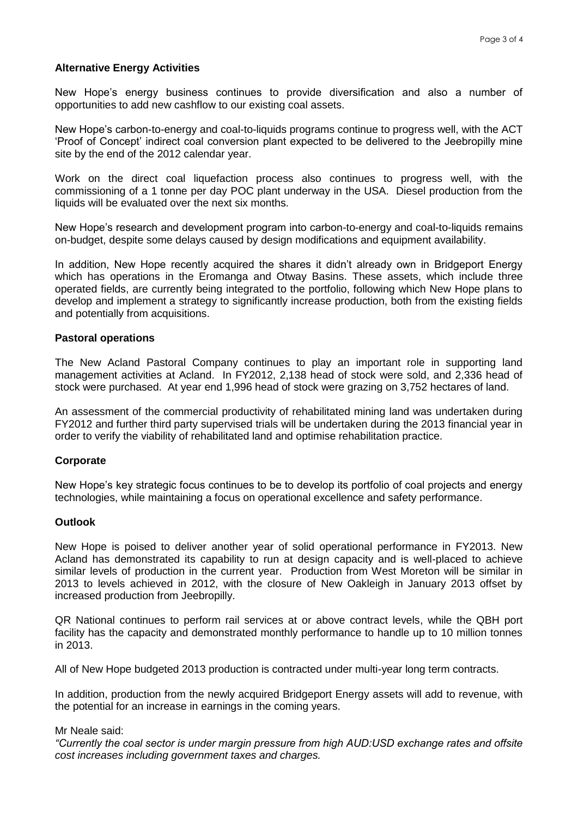#### **Alternative Energy Activities**

New Hope's energy business continues to provide diversification and also a number of opportunities to add new cashflow to our existing coal assets.

New Hope's carbon-to-energy and coal-to-liquids programs continue to progress well, with the ACT 'Proof of Concept' indirect coal conversion plant expected to be delivered to the Jeebropilly mine site by the end of the 2012 calendar year.

Work on the direct coal liquefaction process also continues to progress well, with the commissioning of a 1 tonne per day POC plant underway in the USA. Diesel production from the liquids will be evaluated over the next six months.

New Hope's research and development program into carbon-to-energy and coal-to-liquids remains on-budget, despite some delays caused by design modifications and equipment availability.

In addition, New Hope recently acquired the shares it didn't already own in Bridgeport Energy which has operations in the Eromanga and Otway Basins. These assets, which include three operated fields, are currently being integrated to the portfolio, following which New Hope plans to develop and implement a strategy to significantly increase production, both from the existing fields and potentially from acquisitions.

#### **Pastoral operations**

The New Acland Pastoral Company continues to play an important role in supporting land management activities at Acland. In FY2012, 2,138 head of stock were sold, and 2,336 head of stock were purchased. At year end 1,996 head of stock were grazing on 3,752 hectares of land.

An assessment of the commercial productivity of rehabilitated mining land was undertaken during FY2012 and further third party supervised trials will be undertaken during the 2013 financial year in order to verify the viability of rehabilitated land and optimise rehabilitation practice.

#### **Corporate**

New Hope's key strategic focus continues to be to develop its portfolio of coal projects and energy technologies, while maintaining a focus on operational excellence and safety performance.

#### **Outlook**

New Hope is poised to deliver another year of solid operational performance in FY2013. New Acland has demonstrated its capability to run at design capacity and is well-placed to achieve similar levels of production in the current year. Production from West Moreton will be similar in 2013 to levels achieved in 2012, with the closure of New Oakleigh in January 2013 offset by increased production from Jeebropilly.

QR National continues to perform rail services at or above contract levels, while the QBH port facility has the capacity and demonstrated monthly performance to handle up to 10 million tonnes in 2013.

All of New Hope budgeted 2013 production is contracted under multi-year long term contracts.

In addition, production from the newly acquired Bridgeport Energy assets will add to revenue, with the potential for an increase in earnings in the coming years.

#### Mr Neale said:

*"Currently the coal sector is under margin pressure from high AUD:USD exchange rates and offsite cost increases including government taxes and charges.*